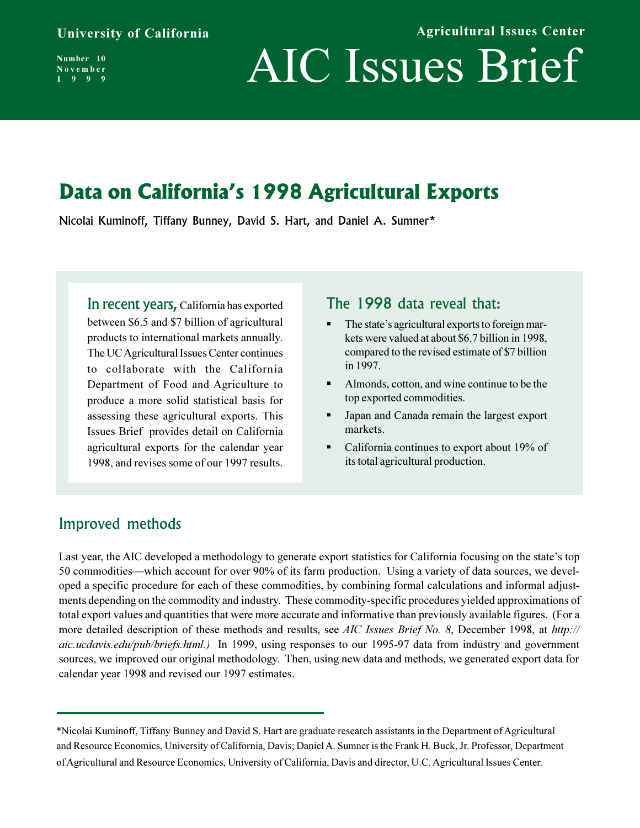**Agricultural Issues Center**

**Number 10 November 1999**

# AIC Issues Brief

## **Data on California's 1998 Agricultural Exports**

Nicolai Kuminoff, Tiffany Bunney, David S. Hart, and Daniel A. Sumner\*

In recent years, California has exported between \$6.5 and \$7 billion of agricultural products to international markets annually. The UC Agricultural Issues Center continues to collaborate with the California Department of Food and Agriculture to produce a more solid statistical basis for assessing these agricultural exports. This Issues Brief provides detail on California agricultural exports for the calendar year 1998, and revises some of our 1997 results.

#### The 1998 data reveal that:

- The state's agricultural exports to foreign markets were valued at about \$6.7 billion in 1998, compared to the revised estimate of \$7 billion in 1997.
- Almonds, cotton, and wine continue to be the top exported commodities.
- Japan and Canada remain the largest export markets.
- California continues to export about 19% of its total agricultural production.

## Improved methods

Last year, the AIC developed a methodology to generate export statistics for California focusing on the state's top 50 commodities—which account for over 90% of its farm production. Using a variety of data sources, we developed a specific procedure for each of these commodities, by combining formal calculations and informal adjustments depending on the commodity and industry. These commodity-specific procedures yielded approximations of total export values and quantities that were more accurate and informative than previously available figures. (For a more detailed description of these methods and results, see *AIC Issues Brief No. 8*, December 1998, at *http:// aic.ucdavis.edu/pub/briefs.html.)* In 1999, using responses to our 1995-97 data from industry and government sources, we improved our original methodology. Then, using new data and methods, we generated export data for calendar year 1998 and revised our 1997 estimates.

<sup>\*</sup>Nicolai Kuminoff, Tiffany Bunney and David S. Hart are graduate research assistants in the Department of Agricultural and Resource Economics, University of California, Davis; Daniel A. Sumner is the Frank H. Buck, Jr. Professor, Department of Agricultural and Resource Economics, University of California, Davis and director, U.C. Agricultural Issues Center.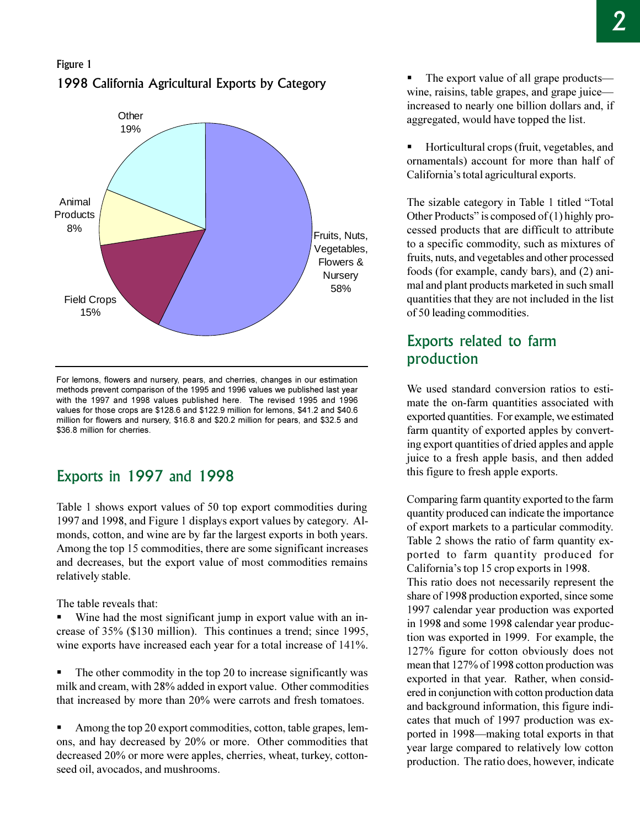## Figure 1 1998 California Agricultural Exports by Category



For lemons, flowers and nursery, pears, and cherries, changes in our estimation methods prevent comparison of the 1995 and 1996 values we published last year with the 1997 and 1998 values published here. The revised 1995 and 1996 values for those crops are \$128.6 and \$122.9 million for lemons, \$41.2 and \$40.6 million for flowers and nursery, \$16.8 and \$20.2 million for pears, and \$32.5 and \$36.8 million for cherries.

## Exports in 1997 and 1998

Table 1 shows export values of 50 top export commodities during 1997 and 1998, and Figure 1 displays export values by category. Almonds, cotton, and wine are by far the largest exports in both years. Among the top 15 commodities, there are some significant increases and decreases, but the export value of most commodities remains relatively stable.

The table reveals that:

Wine had the most significant jump in export value with an increase of 35% (\$130 million). This continues a trend; since 1995, wine exports have increased each year for a total increase of 141%.

■ The other commodity in the top 20 to increase significantly was milk and cream, with 28% added in export value. Other commodities that increased by more than 20% were carrots and fresh tomatoes.

Among the top 20 export commodities, cotton, table grapes, lemons, and hay decreased by 20% or more. Other commodities that decreased 20% or more were apples, cherries, wheat, turkey, cottonseed oil, avocados, and mushrooms.

The export value of all grape products wine, raisins, table grapes, and grape juice increased to nearly one billion dollars and, if aggregated, would have topped the list.

§ Horticultural crops (fruit, vegetables, and ornamentals) account for more than half of California's total agricultural exports.

The sizable category in Table 1 titled "Total" Other Products" is composed of  $(1)$  highly processed products that are difficult to attribute to a specific commodity, such as mixtures of fruits, nuts, and vegetables and other processed foods (for example, candy bars), and (2) animal and plant products marketed in such small quantities that they are not included in the list of 50 leading commodities.

## Exports related to farm production

We used standard conversion ratios to estimate the on-farm quantities associated with exported quantities. For example, we estimated farm quantity of exported apples by converting export quantities of dried apples and apple juice to a fresh apple basis, and then added this figure to fresh apple exports.

Comparing farm quantity exported to the farm quantity produced can indicate the importance of export markets to a particular commodity. Table 2 shows the ratio of farm quantity exported to farm quantity produced for California's top 15 crop exports in 1998.

This ratio does not necessarily represent the share of 1998 production exported, since some 1997 calendar year production was exported in 1998 and some 1998 calendar year production was exported in 1999. For example, the 127% figure for cotton obviously does not mean that 127% of 1998 cotton production was exported in that year. Rather, when considered in conjunction with cotton production data and background information, this figure indicates that much of 1997 production was exported in 1998—making total exports in that year large compared to relatively low cotton production. The ratio does, however, indicate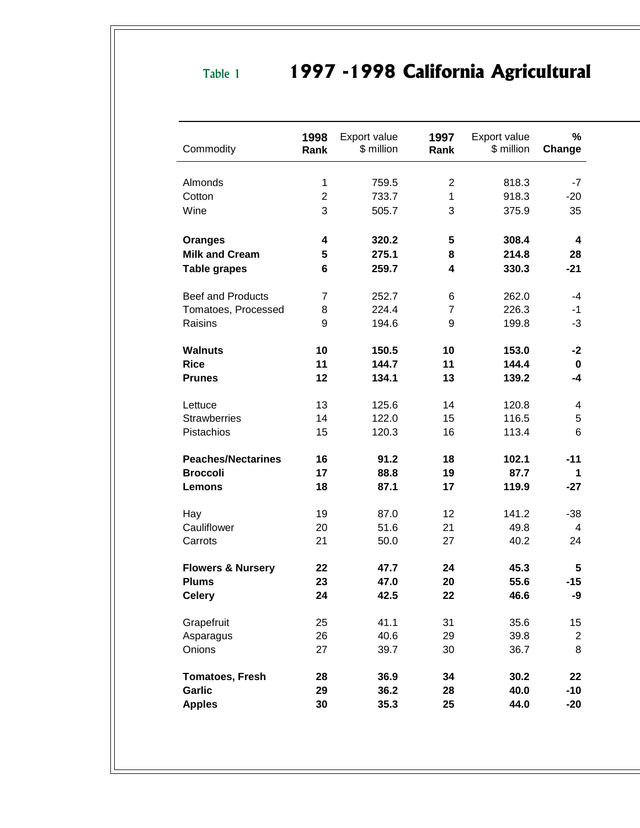## Table 1 **1997 -1998 California Agricultural**

| Commodity                    | 1998<br>Rank   | Export value<br>\$ million | 1997<br>Rank   | Export value<br>\$ million | $\%$<br>Change |
|------------------------------|----------------|----------------------------|----------------|----------------------------|----------------|
| Almonds                      | 1              | 759.5                      | $\overline{2}$ | 818.3                      | $-7$           |
| Cotton                       | $\overline{2}$ | 733.7                      | 1              | 918.3                      | $-20$          |
| Wine                         | 3              | 505.7                      | 3              | 375.9                      | 35             |
| <b>Oranges</b>               | 4              | 320.2                      | 5              | 308.4                      | 4              |
| <b>Milk and Cream</b>        | 5              | 275.1                      | 8              | 214.8                      | 28             |
| <b>Table grapes</b>          | 6              | 259.7                      | 4              | 330.3                      | $-21$          |
| <b>Beef and Products</b>     | 7              | 252.7                      | 6              | 262.0                      | -4             |
| Tomatoes, Processed          | 8              | 224.4                      | $\overline{7}$ | 226.3                      | $-1$           |
| Raisins                      | 9              | 194.6                      | 9              | 199.8                      | -3             |
| <b>Walnuts</b>               | 10             | 150.5                      | 10             | 153.0                      | $-2$           |
| <b>Rice</b>                  | 11             | 144.7                      | 11             | 144.4                      | 0              |
| <b>Prunes</b>                | 12             | 134.1                      | 13             | 139.2                      | $-4$           |
| Lettuce                      | 13             | 125.6                      | 14             | 120.8                      | 4              |
| <b>Strawberries</b>          | 14             | 122.0                      | 15             | 116.5                      | 5              |
| Pistachios                   | 15             | 120.3                      | 16             | 113.4                      | 6              |
| <b>Peaches/Nectarines</b>    | 16             | 91.2                       | 18             | 102.1                      | -11            |
| <b>Broccoli</b>              | 17             | 88.8                       | 19             | 87.7                       | 1              |
| <b>Lemons</b>                | 18             | 87.1                       | 17             | 119.9                      | $-27$          |
| Hay                          | 19             | 87.0                       | 12             | 141.2                      | $-38$          |
| Cauliflower                  | 20             | 51.6                       | 21             | 49.8                       | 4              |
| Carrots                      | 21             | 50.0                       | 27             | 40.2                       | 24             |
| <b>Flowers &amp; Nursery</b> | 22             | 47.7                       | 24             | 45.3                       | 5              |
| <b>Plums</b>                 | 23             | 47.0                       | 20             | 55.6                       | $-15$          |
| <b>Celery</b>                | 24             | 42.5                       | 22             | 46.6                       | -9             |
| Grapefruit                   | 25             | 41.1                       | 31             | 35.6                       | 15             |
| Asparagus                    | 26             | 40.6                       | 29             | 39.8                       | $\overline{c}$ |
| Onions                       | 27             | 39.7                       | 30             | 36.7                       | 8              |
| <b>Tomatoes, Fresh</b>       | 28             | 36.9                       | 34             | 30.2                       | 22             |
| <b>Garlic</b>                | 29             | 36.2                       | 28             | 40.0                       | $-10$          |
| <b>Apples</b>                | 30             | 35.3                       | 25             | 44.0                       | $-20$          |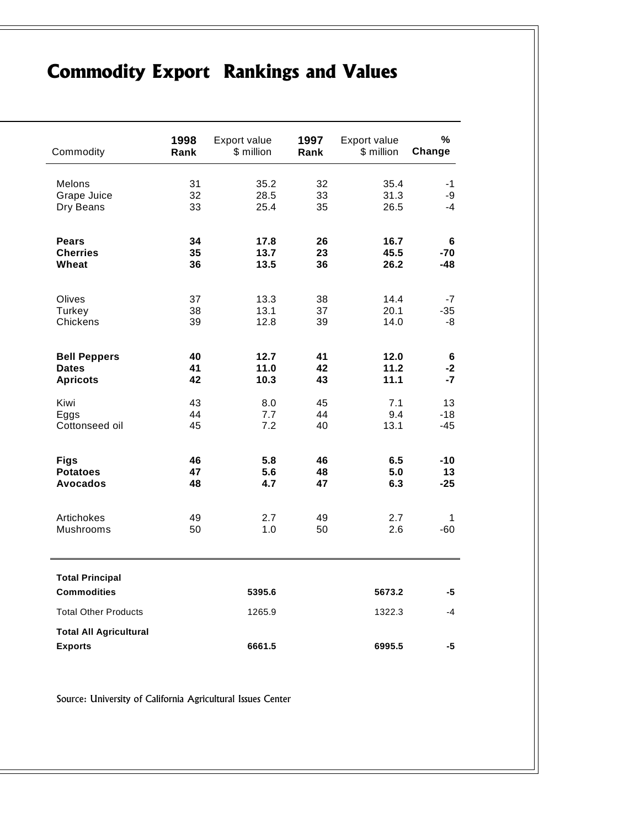## **Commodity Export Rankings and Values**

| Commodity                                       | 1998 | Export value | 1997 | Export value | %      |
|-------------------------------------------------|------|--------------|------|--------------|--------|
|                                                 | Rank | \$ million   | Rank | \$ million   | Change |
| <b>Melons</b>                                   | 31   | 35.2         | 32   | 35.4         | -1     |
| Grape Juice                                     | 32   | 28.5         | 33   | 31.3         | -9     |
| Dry Beans                                       | 33   | 25.4         | 35   | 26.5         | -4     |
| <b>Pears</b>                                    | 34   | 17.8         | 26   | 16.7         | 6      |
| <b>Cherries</b>                                 | 35   | 13.7         | 23   | 45.5         | $-70$  |
| Wheat                                           | 36   | 13.5         | 36   | 26.2         | -48    |
| Olives                                          | 37   | 13.3         | 38   | 14.4         | $-7$   |
| Turkey                                          | 38   | 13.1         | 37   | 20.1         | $-35$  |
| Chickens                                        | 39   | 12.8         | 39   | 14.0         | -8     |
| <b>Bell Peppers</b>                             | 40   | 12.7         | 41   | 12.0         | 6      |
| <b>Dates</b>                                    | 41   | 11.0         | 42   | 11.2         | -2     |
| <b>Apricots</b>                                 | 42   | 10.3         | 43   | 11.1         | -7     |
| Kiwi                                            | 43   | 8.0          | 45   | 7.1          | 13     |
| Eggs                                            | 44   | 7.7          | 44   | 9.4          | $-18$  |
| Cottonseed oil                                  | 45   | 7.2          | 40   | 13.1         | $-45$  |
| <b>Figs</b>                                     | 46   | 5.8          | 46   | 6.5          | -10    |
| <b>Potatoes</b>                                 | 47   | 5.6          | 48   | 5.0          | 13     |
| <b>Avocados</b>                                 | 48   | 4.7          | 47   | 6.3          | $-25$  |
| Artichokes                                      | 49   | 2.7          | 49   | 2.7          | 1      |
| Mushrooms                                       | 50   | 1.0          | 50   | 2.6          | $-60$  |
| <b>Total Principal</b><br><b>Commodities</b>    |      | 5395.6       |      | 5673.2       | -5     |
| <b>Total Other Products</b>                     |      | 1265.9       |      | 1322.3       | $-4$   |
| <b>Total All Agricultural</b><br><b>Exports</b> |      | 6661.5       |      | 6995.5       | -5     |

Source: University of California Agricultural Issues Center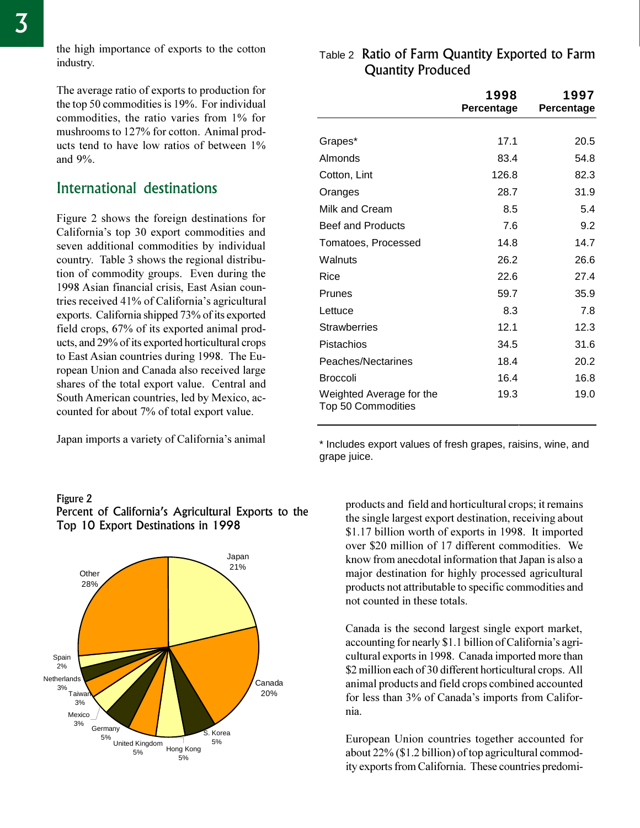the high importance of exports to the cotton industry.

The average ratio of exports to production for the top 50 commodities is 19%. For individual commodities, the ratio varies from 1% for mushrooms to 127% for cotton. Animal products tend to have low ratios of between 1% and 9%.

## International destinations

Figure 2 shows the foreign destinations for California's top 30 export commodities and seven additional commodities by individual country. Table 3 shows the regional distribution of commodity groups. Even during the 1998 Asian financial crisis, East Asian countries received 41% of California's agricultural exports. California shipped 73% of its exported field crops, 67% of its exported animal products, and 29% of its exported horticultural crops to East Asian countries during 1998. The European Union and Canada also received large shares of the total export value. Central and South American countries, led by Mexico, accounted for about 7% of total export value.

Japan imports a variety of California's animal

#### Figure 2



## Percent of California's Agricultural Exports to the Top 10 Export Destinations in 1998

## $\sf \tau$ able 2  $\sf Rat$ io of  $\sf Farm$  Quantity Exported to  $\sf Farm$ **Quantity Produced**

|                                                | 1998<br>Percentage | 1997<br>Percentage |
|------------------------------------------------|--------------------|--------------------|
|                                                |                    |                    |
| Grapes*                                        | 17.1               | 20.5               |
| Almonds                                        | 83.4               | 54.8               |
| Cotton, Lint                                   | 126.8              | 82.3               |
| Oranges                                        | 28.7               | 31.9               |
| Milk and Cream                                 | 8.5                | 5.4                |
| <b>Beef and Products</b>                       | 7.6                | 9.2                |
| Tomatoes, Processed                            | 14.8               | 14.7               |
| Walnuts                                        | 26.2               | 26.6               |
| Rice                                           | 22.6               | 27.4               |
| Prunes                                         | 59.7               | 35.9               |
| Lettuce                                        | 8.3                | 7.8                |
| <b>Strawberries</b>                            | 12.1               | 12.3               |
| Pistachios                                     | 34.5               | 31.6               |
| Peaches/Nectarines                             | 18.4               | 20.2               |
| <b>Broccoli</b>                                | 16.4               | 16.8               |
| Weighted Average for the<br>Top 50 Commodities | 19.3               | 19.0               |

\* Includes export values of fresh grapes, raisins, wine, and grape juice.

products and field and horticultural crops; it remains the single largest export destination, receiving about \$1.17 billion worth of exports in 1998. It imported over \$20 million of 17 different commodities. We know from anecdotal information that Japan is also a major destination for highly processed agricultural products not attributable to specific commodities and not counted in these totals.

Canada is the second largest single export market, accounting for nearly  $$1.1$  billion of California's agricultural exports in 1998. Canada imported more than \$2 million each of 30 different horticultural crops. All animal products and field crops combined accounted for less than 3% of Canada's imports from California.

European Union countries together accounted for about 22% (\$1.2 billion) of top agricultural commodity exports from California. These countries predomi